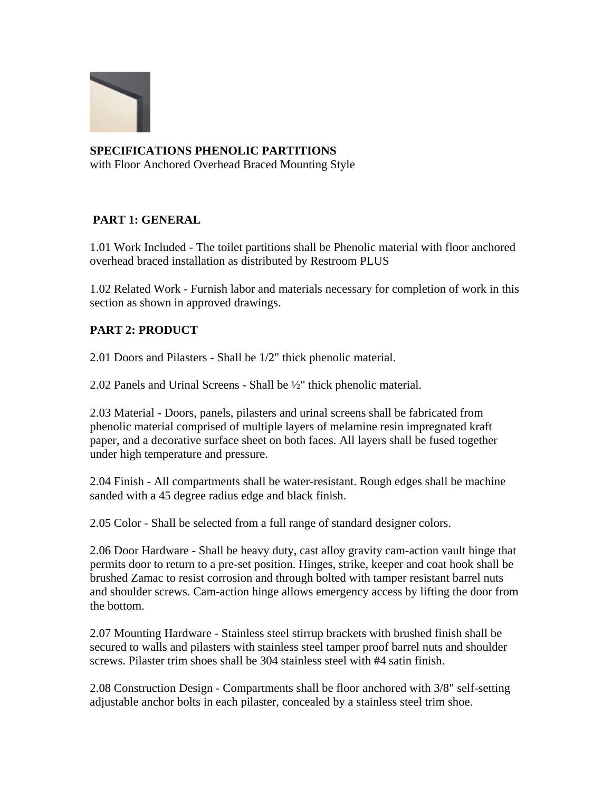

## **SPECIFICATIONS PHENOLIC PARTITIONS**

with Floor Anchored Overhead Braced Mounting Style

## **PART 1: GENERAL**

1.01 Work Included - The toilet partitions shall be Phenolic material with floor anchored overhead braced installation as distributed by Restroom PLUS

1.02 Related Work - Furnish labor and materials necessary for completion of work in this section as shown in approved drawings.

## **PART 2: PRODUCT**

2.01 Doors and Pilasters - Shall be 1/2" thick phenolic material.

2.02 Panels and Urinal Screens - Shall be ½" thick phenolic material.

2.03 Material - Doors, panels, pilasters and urinal screens shall be fabricated from phenolic material comprised of multiple layers of melamine resin impregnated kraft paper, and a decorative surface sheet on both faces. All layers shall be fused together under high temperature and pressure.

2.04 Finish - All compartments shall be water-resistant. Rough edges shall be machine sanded with a 45 degree radius edge and black finish.

2.05 Color - Shall be selected from a full range of standard designer colors.

2.06 Door Hardware - Shall be heavy duty, cast alloy gravity cam-action vault hinge that permits door to return to a pre-set position. Hinges, strike, keeper and coat hook shall be brushed Zamac to resist corrosion and through bolted with tamper resistant barrel nuts and shoulder screws. Cam-action hinge allows emergency access by lifting the door from the bottom.

2.07 Mounting Hardware - Stainless steel stirrup brackets with brushed finish shall be secured to walls and pilasters with stainless steel tamper proof barrel nuts and shoulder screws. Pilaster trim shoes shall be 304 stainless steel with #4 satin finish.

2.08 Construction Design - Compartments shall be floor anchored with 3/8" self-setting adjustable anchor bolts in each pilaster, concealed by a stainless steel trim shoe.